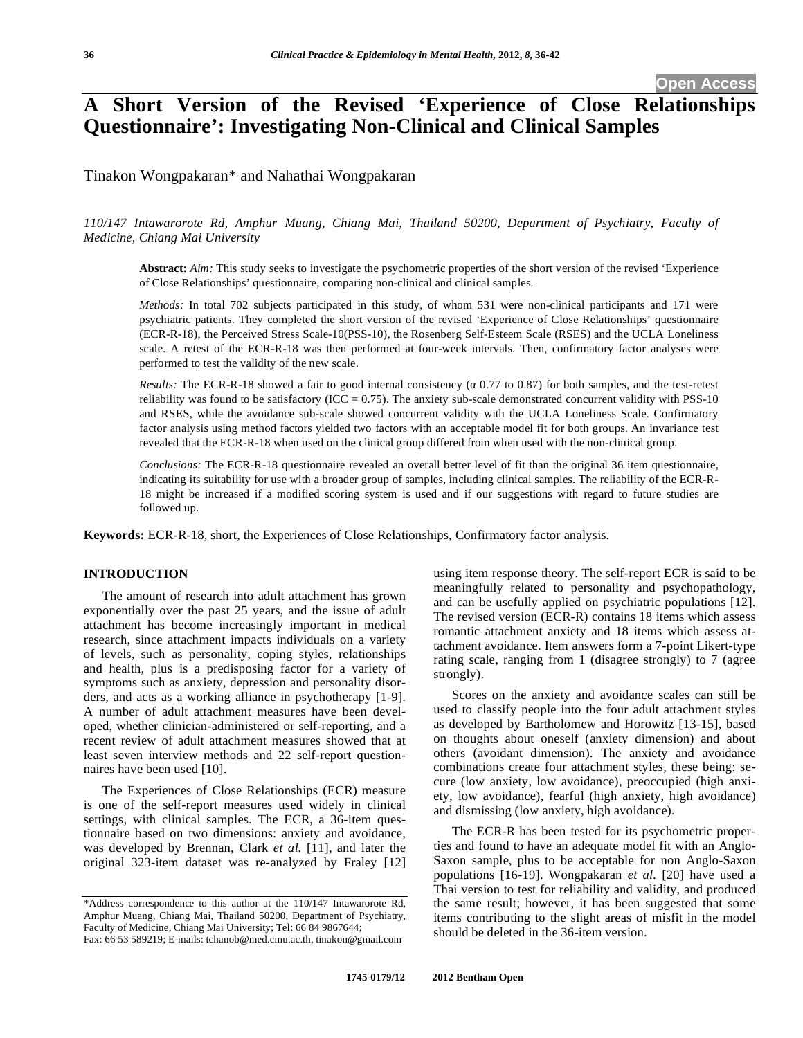# **A Short Version of the Revised 'Experience of Close Relationships Questionnaire': Investigating Non-Clinical and Clinical Samples**

Tinakon Wongpakaran\* and Nahathai Wongpakaran

# *110/147 Intawarorote Rd, Amphur Muang, Chiang Mai, Thailand 50200, Department of Psychiatry, Faculty of Medicine, Chiang Mai University*

**Abstract:** *Aim:* This study seeks to investigate the psychometric properties of the short version of the revised 'Experience of Close Relationships' questionnaire, comparing non-clinical and clinical samples.

*Methods:* In total 702 subjects participated in this study, of whom 531 were non-clinical participants and 171 were psychiatric patients. They completed the short version of the revised 'Experience of Close Relationships' questionnaire (ECR-R-18), the Perceived Stress Scale-10(PSS-10), the Rosenberg Self-Esteem Scale (RSES) and the UCLA Loneliness scale. A retest of the ECR-R-18 was then performed at four-week intervals. Then, confirmatory factor analyses were performed to test the validity of the new scale.

*Results:* The ECR-R-18 showed a fair to good internal consistency  $(0.0.77)$  to 0.87) for both samples, and the test-retest reliability was found to be satisfactory (ICC =  $0.75$ ). The anxiety sub-scale demonstrated concurrent validity with PSS-10 and RSES, while the avoidance sub-scale showed concurrent validity with the UCLA Loneliness Scale. Confirmatory factor analysis using method factors yielded two factors with an acceptable model fit for both groups. An invariance test revealed that the ECR-R-18 when used on the clinical group differed from when used with the non-clinical group.

*Conclusions:* The ECR-R-18 questionnaire revealed an overall better level of fit than the original 36 item questionnaire, indicating its suitability for use with a broader group of samples, including clinical samples. The reliability of the ECR-R-18 might be increased if a modified scoring system is used and if our suggestions with regard to future studies are followed up.

**Keywords:** ECR-R-18, short, the Experiences of Close Relationships, Confirmatory factor analysis.

# **INTRODUCTION**

The amount of research into adult attachment has grown exponentially over the past 25 years, and the issue of adult attachment has become increasingly important in medical research, since attachment impacts individuals on a variety of levels, such as personality, coping styles, relationships and health, plus is a predisposing factor for a variety of symptoms such as anxiety, depression and personality disorders, and acts as a working alliance in psychotherapy [1-9]. A number of adult attachment measures have been developed, whether clinician-administered or self-reporting, and a recent review of adult attachment measures showed that at least seven interview methods and 22 self-report questionnaires have been used [10].

The Experiences of Close Relationships (ECR) measure is one of the self-report measures used widely in clinical settings, with clinical samples. The ECR, a 36-item questionnaire based on two dimensions: anxiety and avoidance, was developed by Brennan, Clark *et al.* [11], and later the original 323-item dataset was re-analyzed by Fraley [12]

Fax: 66 53 589219; E-mails: tchanob@med.cmu.ac.th, tinakon@gmail.com

using item response theory. The self-report ECR is said to be meaningfully related to personality and psychopathology, and can be usefully applied on psychiatric populations [12]. The revised version (ECR-R) contains 18 items which assess romantic attachment anxiety and 18 items which assess attachment avoidance. Item answers form a 7-point Likert-type rating scale, ranging from 1 (disagree strongly) to 7 (agree strongly).

Scores on the anxiety and avoidance scales can still be used to classify people into the four adult attachment styles as developed by Bartholomew and Horowitz [13-15], based on thoughts about oneself (anxiety dimension) and about others (avoidant dimension). The anxiety and avoidance combinations create four attachment styles, these being: secure (low anxiety, low avoidance), preoccupied (high anxiety, low avoidance), fearful (high anxiety, high avoidance) and dismissing (low anxiety, high avoidance).

The ECR-R has been tested for its psychometric properties and found to have an adequate model fit with an Anglo-Saxon sample, plus to be acceptable for non Anglo-Saxon populations [16-19]. Wongpakaran *et al.* [20] have used a Thai version to test for reliability and validity, and produced the same result; however, it has been suggested that some items contributing to the slight areas of misfit in the model should be deleted in the 36-item version.

<sup>\*</sup>Address correspondence to this author at the 110/147 Intawarorote Rd, Amphur Muang, Chiang Mai, Thailand 50200, Department of Psychiatry, Faculty of Medicine, Chiang Mai University; Tel: 66 84 9867644;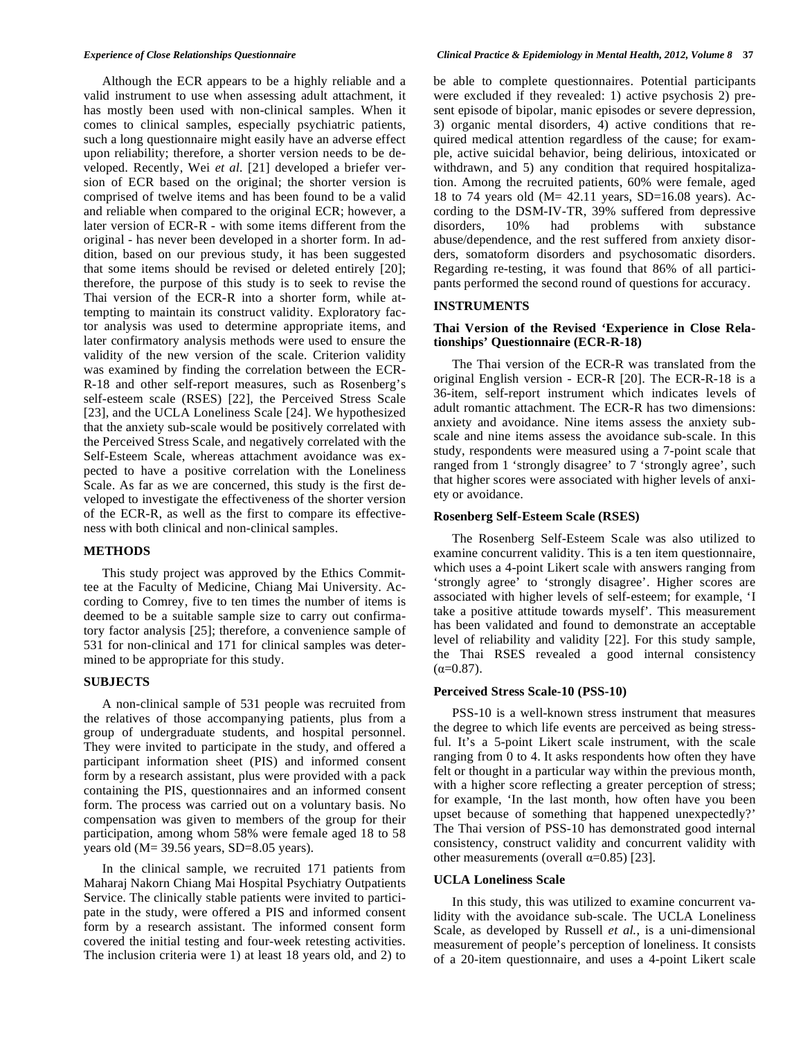Although the ECR appears to be a highly reliable and a valid instrument to use when assessing adult attachment, it has mostly been used with non-clinical samples. When it comes to clinical samples, especially psychiatric patients, such a long questionnaire might easily have an adverse effect upon reliability; therefore, a shorter version needs to be developed. Recently, Wei *et al.* [21] developed a briefer version of ECR based on the original; the shorter version is comprised of twelve items and has been found to be a valid and reliable when compared to the original ECR; however, a later version of ECR-R - with some items different from the original - has never been developed in a shorter form. In addition, based on our previous study, it has been suggested that some items should be revised or deleted entirely [20]; therefore, the purpose of this study is to seek to revise the Thai version of the ECR-R into a shorter form, while attempting to maintain its construct validity. Exploratory factor analysis was used to determine appropriate items, and later confirmatory analysis methods were used to ensure the validity of the new version of the scale. Criterion validity was examined by finding the correlation between the ECR-R-18 and other self-report measures, such as Rosenberg's self-esteem scale (RSES) [22], the Perceived Stress Scale [23], and the UCLA Loneliness Scale [24]. We hypothesized that the anxiety sub-scale would be positively correlated with the Perceived Stress Scale, and negatively correlated with the Self-Esteem Scale, whereas attachment avoidance was expected to have a positive correlation with the Loneliness Scale. As far as we are concerned, this study is the first developed to investigate the effectiveness of the shorter version of the ECR-R, as well as the first to compare its effectiveness with both clinical and non-clinical samples.

#### **METHODS**

This study project was approved by the Ethics Committee at the Faculty of Medicine, Chiang Mai University. According to Comrey, five to ten times the number of items is deemed to be a suitable sample size to carry out confirmatory factor analysis [25]; therefore, a convenience sample of 531 for non-clinical and 171 for clinical samples was determined to be appropriate for this study.

#### **SUBJECTS**

A non-clinical sample of 531 people was recruited from the relatives of those accompanying patients, plus from a group of undergraduate students, and hospital personnel. They were invited to participate in the study, and offered a participant information sheet (PIS) and informed consent form by a research assistant, plus were provided with a pack containing the PIS, questionnaires and an informed consent form. The process was carried out on a voluntary basis. No compensation was given to members of the group for their participation, among whom 58% were female aged 18 to 58 years old (M= 39.56 years, SD=8.05 years).

In the clinical sample, we recruited 171 patients from Maharaj Nakorn Chiang Mai Hospital Psychiatry Outpatients Service. The clinically stable patients were invited to participate in the study, were offered a PIS and informed consent form by a research assistant. The informed consent form covered the initial testing and four-week retesting activities. The inclusion criteria were 1) at least 18 years old, and 2) to be able to complete questionnaires. Potential participants were excluded if they revealed: 1) active psychosis 2) present episode of bipolar, manic episodes or severe depression, 3) organic mental disorders, 4) active conditions that required medical attention regardless of the cause; for example, active suicidal behavior, being delirious, intoxicated or withdrawn, and 5) any condition that required hospitalization. Among the recruited patients, 60% were female, aged 18 to 74 years old (M= 42.11 years, SD=16.08 years). According to the DSM-IV-TR, 39% suffered from depressive disorders, 10% had problems with substance abuse/dependence, and the rest suffered from anxiety disorders, somatoform disorders and psychosomatic disorders. Regarding re-testing, it was found that 86% of all participants performed the second round of questions for accuracy.

#### **INSTRUMENTS**

#### **Thai Version of the Revised 'Experience in Close Relationships' Questionnaire (ECR-R-18)**

The Thai version of the ECR-R was translated from the original English version - ECR-R [20]. The ECR-R-18 is a 36-item, self-report instrument which indicates levels of adult romantic attachment. The ECR-R has two dimensions: anxiety and avoidance. Nine items assess the anxiety subscale and nine items assess the avoidance sub-scale. In this study, respondents were measured using a 7-point scale that ranged from 1 'strongly disagree' to 7 'strongly agree', such that higher scores were associated with higher levels of anxiety or avoidance.

#### **Rosenberg Self-Esteem Scale (RSES)**

The Rosenberg Self-Esteem Scale was also utilized to examine concurrent validity. This is a ten item questionnaire, which uses a 4-point Likert scale with answers ranging from 'strongly agree' to 'strongly disagree'. Higher scores are associated with higher levels of self-esteem; for example, 'I take a positive attitude towards myself'. This measurement has been validated and found to demonstrate an acceptable level of reliability and validity [22]. For this study sample, the Thai RSES revealed a good internal consistency  $(\alpha=0.87)$ .

#### **Perceived Stress Scale-10 (PSS-10)**

PSS-10 is a well-known stress instrument that measures the degree to which life events are perceived as being stressful. It's a 5-point Likert scale instrument, with the scale ranging from 0 to 4. It asks respondents how often they have felt or thought in a particular way within the previous month, with a higher score reflecting a greater perception of stress; for example, 'In the last month, how often have you been upset because of something that happened unexpectedly?' The Thai version of PSS-10 has demonstrated good internal consistency, construct validity and concurrent validity with other measurements (overall  $\alpha$ =0.85) [23].

# **UCLA Loneliness Scale**

In this study, this was utilized to examine concurrent validity with the avoidance sub-scale. The UCLA Loneliness Scale, as developed by Russell *et al.*, is a uni-dimensional measurement of people's perception of loneliness. It consists of a 20-item questionnaire, and uses a 4-point Likert scale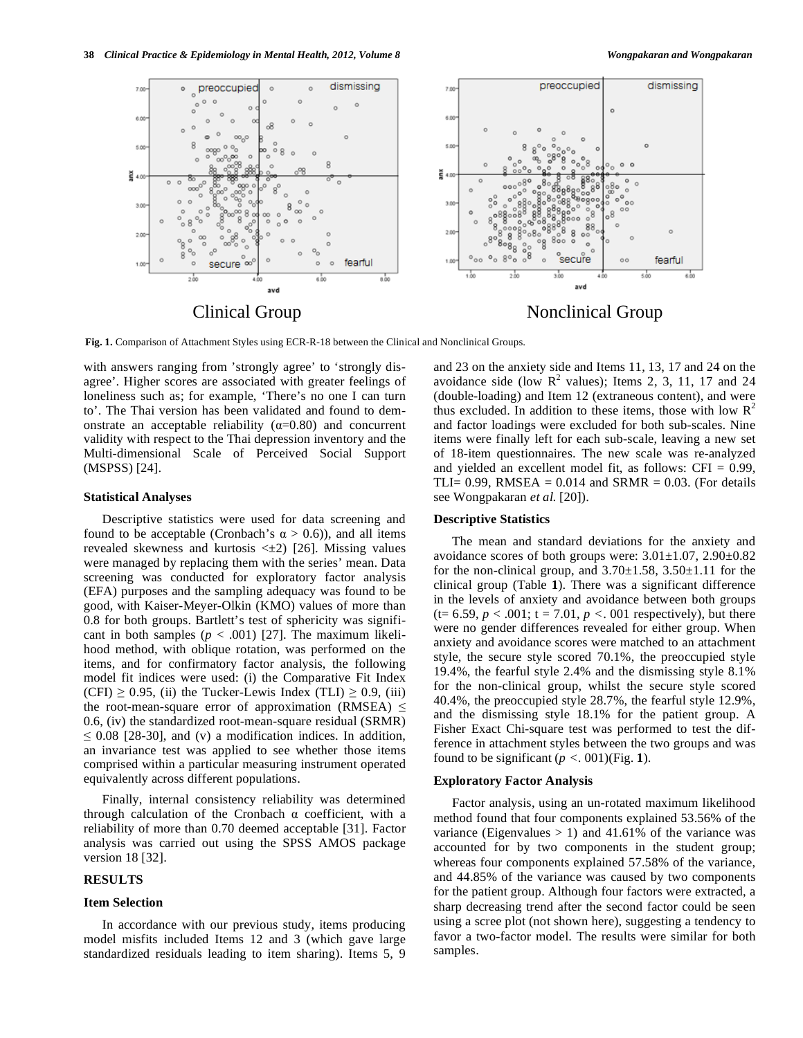

**Fig. 1.** Comparison of Attachment Styles using ECR-R-18 between the Clinical and Nonclinical Groups.

with answers ranging from 'strongly agree' to 'strongly disagree'. Higher scores are associated with greater feelings of loneliness such as; for example, 'There's no one I can turn to'. The Thai version has been validated and found to demonstrate an acceptable reliability ( $\alpha$ =0.80) and concurrent validity with respect to the Thai depression inventory and the Multi-dimensional Scale of Perceived Social Support (MSPSS) [24].

#### **Statistical Analyses**

Descriptive statistics were used for data screening and found to be acceptable (Cronbach's  $\alpha > 0.6$ )), and all items revealed skewness and kurtosis  $\leq \pm 2$ ) [26]. Missing values were managed by replacing them with the series' mean. Data screening was conducted for exploratory factor analysis (EFA) purposes and the sampling adequacy was found to be good, with Kaiser-Meyer-Olkin (KMO) values of more than 0.8 for both groups. Bartlett's test of sphericity was significant in both samples  $(p < .001)$  [27]. The maximum likelihood method, with oblique rotation, was performed on the items, and for confirmatory factor analysis, the following model fit indices were used: (i) the Comparative Fit Index  $(CFI) \ge 0.95$ , (ii) the Tucker-Lewis Index (TLI)  $\ge 0.9$ , (iii) the root-mean-square error of approximation (RMSEA)  $\leq$ 0.6, (iv) the standardized root-mean-square residual (SRMR)  $\leq$  0.08 [28-30], and (v) a modification indices. In addition, an invariance test was applied to see whether those items comprised within a particular measuring instrument operated equivalently across different populations.

Finally, internal consistency reliability was determined through calculation of the Cronbach  $\alpha$  coefficient, with a reliability of more than 0.70 deemed acceptable [31]. Factor analysis was carried out using the SPSS AMOS package version 18 [32].

# **RESULTS**

#### **Item Selection**

In accordance with our previous study, items producing model misfits included Items 12 and 3 (which gave large standardized residuals leading to item sharing). Items 5, 9 and 23 on the anxiety side and Items 11, 13, 17 and 24 on the avoidance side (low  $\mathbb{R}^2$  values); Items 2, 3, 11, 17 and 24 (double-loading) and Item 12 (extraneous content), and were thus excluded. In addition to these items, those with low  $\mathbb{R}^2$ and factor loadings were excluded for both sub-scales. Nine items were finally left for each sub-scale, leaving a new set of 18-item questionnaires. The new scale was re-analyzed and yielded an excellent model fit, as follows: CFI = 0.99, TLI=  $0.99$ , RMSEA =  $0.014$  and SRMR =  $0.03$ . (For details see Wongpakaran *et al.* [20]).

# **Descriptive Statistics**

The mean and standard deviations for the anxiety and avoidance scores of both groups were: 3.01±1.07, 2.90±0.82 for the non-clinical group, and  $3.70\pm1.58$ ,  $3.50\pm1.11$  for the clinical group (Table **1**). There was a significant difference in the levels of anxiety and avoidance between both groups  $(t= 6.59, p < .001; t = 7.01, p < .001$  respectively), but there were no gender differences revealed for either group. When anxiety and avoidance scores were matched to an attachment style, the secure style scored 70.1%, the preoccupied style 19.4%, the fearful style 2.4% and the dismissing style 8.1% for the non-clinical group, whilst the secure style scored 40.4%, the preoccupied style 28.7%, the fearful style 12.9%, and the dismissing style 18.1% for the patient group. A Fisher Exact Chi-square test was performed to test the difference in attachment styles between the two groups and was found to be significant  $(p < .001)$  (Fig. 1).

# **Exploratory Factor Analysis**

Factor analysis, using an un-rotated maximum likelihood method found that four components explained 53.56% of the variance (Eigenvalues  $> 1$ ) and 41.61% of the variance was accounted for by two components in the student group; whereas four components explained 57.58% of the variance, and 44.85% of the variance was caused by two components for the patient group. Although four factors were extracted, a sharp decreasing trend after the second factor could be seen using a scree plot (not shown here), suggesting a tendency to favor a two-factor model. The results were similar for both samples.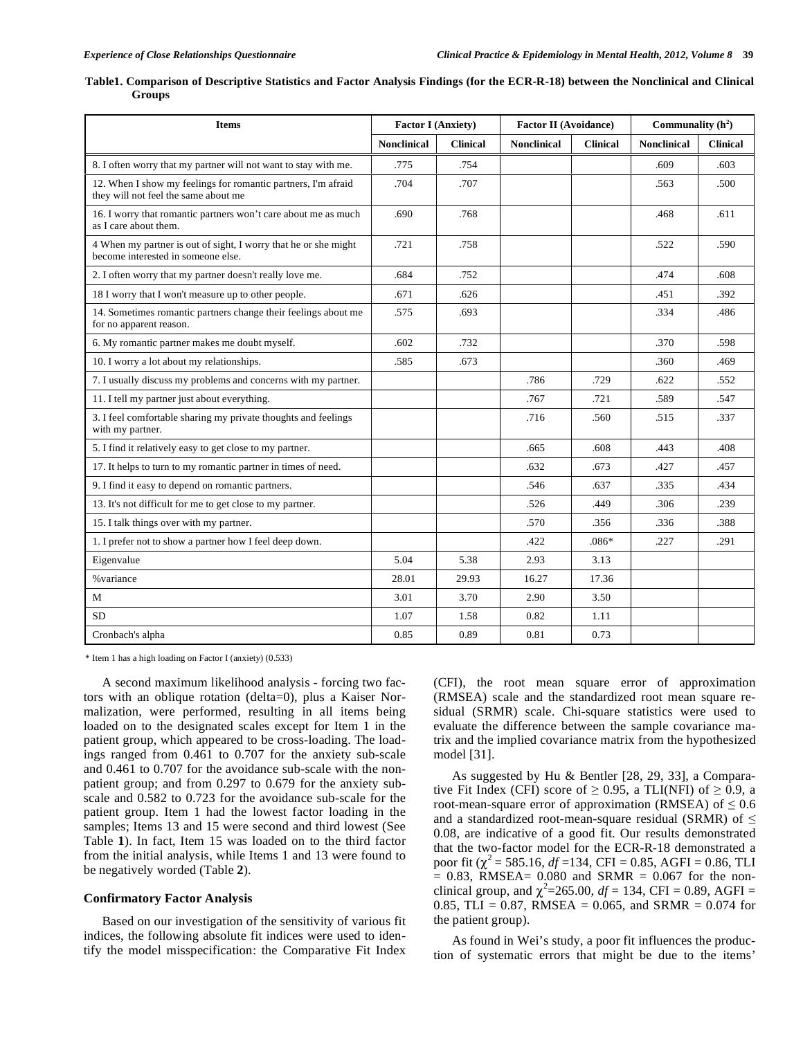| <b>Items</b>                                                                                          | <b>Factor I (Anxiety)</b> |                 | <b>Factor II (Avoidance)</b> |                 | Communality $(h^2)$ |                 |
|-------------------------------------------------------------------------------------------------------|---------------------------|-----------------|------------------------------|-----------------|---------------------|-----------------|
|                                                                                                       | <b>Nonclinical</b>        | <b>Clinical</b> | <b>Nonclinical</b>           | <b>Clinical</b> | <b>Nonclinical</b>  | <b>Clinical</b> |
| 8. I often worry that my partner will not want to stay with me.                                       | .775                      | .754            |                              |                 | .609                | .603            |
| 12. When I show my feelings for romantic partners, I'm afraid<br>they will not feel the same about me | .704                      | .707            |                              |                 | .563                | .500            |
| 16. I worry that romantic partners won't care about me as much<br>as I care about them.               | .690                      | .768            |                              |                 | .468                | .611            |
| 4 When my partner is out of sight, I worry that he or she might<br>become interested in someone else. | .721                      | .758            |                              |                 | .522                | .590            |
| 2. I often worry that my partner doesn't really love me.                                              | .684                      | .752            |                              |                 | .474                | .608            |
| 18 I worry that I won't measure up to other people.                                                   | .671                      | .626            |                              |                 | .451                | .392            |
| 14. Sometimes romantic partners change their feelings about me<br>for no apparent reason.             | .575                      | .693            |                              |                 | .334                | .486            |
| 6. My romantic partner makes me doubt myself.                                                         | .602                      | .732            |                              |                 | .370                | .598            |
| 10. I worry a lot about my relationships.                                                             | .585                      | .673            |                              |                 | .360                | .469            |
| 7. I usually discuss my problems and concerns with my partner.                                        |                           |                 | .786                         | .729            | .622                | .552            |
| 11. I tell my partner just about everything.                                                          |                           |                 | .767                         | .721            | .589                | .547            |
| 3. I feel comfortable sharing my private thoughts and feelings<br>with my partner.                    |                           |                 | .716                         | .560            | .515                | .337            |
| 5. I find it relatively easy to get close to my partner.                                              |                           |                 | .665                         | .608            | .443                | .408            |
| 17. It helps to turn to my romantic partner in times of need.                                         |                           |                 | .632                         | .673            | .427                | .457            |
| 9. I find it easy to depend on romantic partners.                                                     |                           |                 | .546                         | .637            | .335                | .434            |
| 13. It's not difficult for me to get close to my partner.                                             |                           |                 | .526                         | .449            | .306                | .239            |
| 15. I talk things over with my partner.                                                               |                           |                 | .570                         | .356            | .336                | .388            |
| 1. I prefer not to show a partner how I feel deep down.                                               |                           |                 | .422                         | $.086*$         | .227                | .291            |
| Eigenvalue                                                                                            | 5.04                      | 5.38            | 2.93                         | 3.13            |                     |                 |
| % variance                                                                                            | 28.01                     | 29.93           | 16.27                        | 17.36           |                     |                 |
| M                                                                                                     | 3.01                      | 3.70            | 2.90                         | 3.50            |                     |                 |
| <b>SD</b>                                                                                             | 1.07                      | 1.58            | 0.82                         | 1.11            |                     |                 |
| Cronbach's alpha                                                                                      | 0.85                      | 0.89            | 0.81                         | 0.73            |                     |                 |

|        |  |  |  |  | Table1. Comparison of Descriptive Statistics and Factor Analysis Findings (for the ECR-R-18) between the Nonclinical and Clinical |  |
|--------|--|--|--|--|-----------------------------------------------------------------------------------------------------------------------------------|--|
| Groups |  |  |  |  |                                                                                                                                   |  |

\* Item 1 has a high loading on Factor I (anxiety) (0.533)

A second maximum likelihood analysis - forcing two factors with an oblique rotation (delta=0), plus a Kaiser Normalization, were performed, resulting in all items being loaded on to the designated scales except for Item 1 in the patient group, which appeared to be cross-loading. The loadings ranged from 0.461 to 0.707 for the anxiety sub-scale and 0.461 to 0.707 for the avoidance sub-scale with the nonpatient group; and from 0.297 to 0.679 for the anxiety subscale and 0.582 to 0.723 for the avoidance sub-scale for the patient group. Item 1 had the lowest factor loading in the samples; Items 13 and 15 were second and third lowest (See Table **1**). In fact, Item 15 was loaded on to the third factor from the initial analysis, while Items 1 and 13 were found to be negatively worded (Table **2**).

#### **Confirmatory Factor Analysis**

Based on our investigation of the sensitivity of various fit indices, the following absolute fit indices were used to identify the model misspecification: the Comparative Fit Index (CFI), the root mean square error of approximation (RMSEA) scale and the standardized root mean square residual (SRMR) scale. Chi-square statistics were used to evaluate the difference between the sample covariance matrix and the implied covariance matrix from the hypothesized model [31].

As suggested by Hu & Bentler [28, 29, 33], a Comparative Fit Index (CFI) score of  $\geq 0.95$ , a TLI(NFI) of  $\geq 0.9$ , a root-mean-square error of approximation (RMSEA) of  $\leq 0.6$ and a standardized root-mean-square residual (SRMR) of  $\leq$ 0.08, are indicative of a good fit. Our results demonstrated that the two-factor model for the ECR-R-18 demonstrated a poor fit ( $\chi^2$  = 585.16, *df* =134, CFI = 0.85, AGFI = 0.86, TLI  $= 0.83$ , RMSEA= 0.080 and SRMR = 0.067 for the nonclinical group, and  $\chi^2$ =265.00, *df* = 134, CFI = 0.89, AGFI = 0.85, TLI = 0.87, RMSEA = 0.065, and SRMR = 0.074 for the patient group).

As found in Wei's study, a poor fit influences the production of systematic errors that might be due to the items'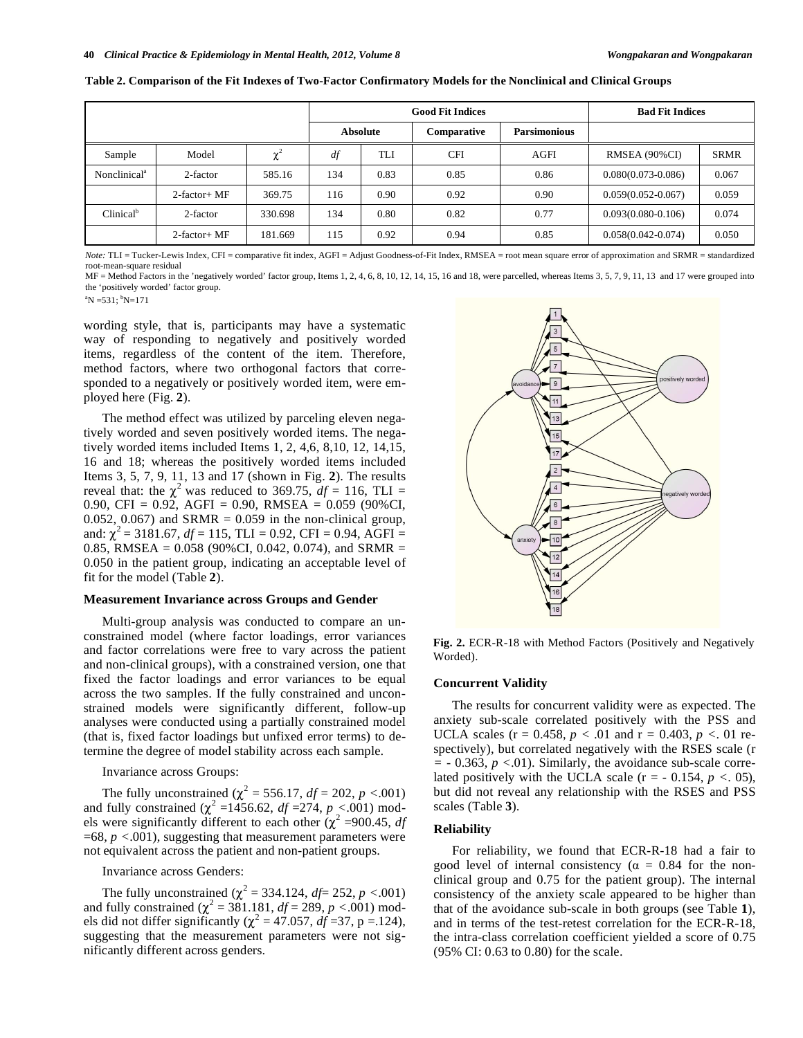|                          |                 |          |                 |      | <b>Good Fit Indices</b> | <b>Bad Fit Indices</b> |                        |             |
|--------------------------|-----------------|----------|-----------------|------|-------------------------|------------------------|------------------------|-------------|
|                          |                 |          | <b>Absolute</b> |      | Comparative             | <b>Parsimonious</b>    |                        |             |
| Sample                   | Model           | $\chi^2$ | df              | TLI  | <b>CFI</b>              | AGFI                   | RMSEA (90%CI)          | <b>SRMR</b> |
| Nonclinical <sup>a</sup> | 2-factor        | 585.16   | 134             | 0.83 | 0.85                    | 0.86                   | $0.080(0.073 - 0.086)$ | 0.067       |
|                          | $2$ -factor+ MF | 369.75   | 116             | 0.90 | 0.92                    | 0.90                   | $0.059(0.052 - 0.067)$ | 0.059       |
| Clinical <sup>b</sup>    | 2-factor        | 330.698  | 134             | 0.80 | 0.82                    | 0.77                   | $0.093(0.080 - 0.106)$ | 0.074       |
|                          | 2-factor+ MF    | 181.669  | 115             | 0.92 | 0.94                    | 0.85                   | $0.058(0.042 - 0.074)$ | 0.050       |

**Table 2. Comparison of the Fit Indexes of Two-Factor Confirmatory Models for the Nonclinical and Clinical Groups** 

*Note:* TLI = Tucker-Lewis Index, CFI = comparative fit index, AGFI = Adjust Goodness-of-Fit Index, RMSEA = root mean square error of approximation and SRMR = standardized root-mean-square residual

MF = Method Factors in the 'negatively worded' factor group, Items 1, 2, 4, 6, 8, 10, 12, 14, 15, 16 and 18, were parcelled, whereas Items 3, 5, 7, 9, 11, 13 and 17 were grouped into the 'positively worded' factor group.

 $\mathrm{^{a}N}$  =531;  $\mathrm{^{b}N}$ =171

wording style, that is, participants may have a systematic way of responding to negatively and positively worded items, regardless of the content of the item. Therefore, method factors, where two orthogonal factors that corresponded to a negatively or positively worded item, were employed here (Fig. **2**).

The method effect was utilized by parceling eleven negatively worded and seven positively worded items. The negatively worded items included Items 1, 2, 4,6, 8,10, 12, 14,15, 16 and 18; whereas the positively worded items included Items 3, 5, 7, 9, 11, 13 and 17 (shown in Fig. **2**). The results reveal that: the  $\chi^2$  was reduced to 369.75,  $df = 116$ , TLI = 0.90, CFI = 0.92, AGFI = 0.90, RMSEA =  $0.059$  (90%CI, 0.052, 0.067) and SRMR =  $0.059$  in the non-clinical group, and:  $\chi^2$  = 3181.67, *df* = 115, TLI = 0.92, CFI = 0.94, AGFI = 0.85, RMSEA =  $0.058$  (90%CI, 0.042, 0.074), and SRMR = 0.050 in the patient group, indicating an acceptable level of fit for the model (Table **2**).

# **Measurement Invariance across Groups and Gender**

Multi-group analysis was conducted to compare an unconstrained model (where factor loadings, error variances and factor correlations were free to vary across the patient and non-clinical groups), with a constrained version, one that fixed the factor loadings and error variances to be equal across the two samples. If the fully constrained and unconstrained models were significantly different, follow-up analyses were conducted using a partially constrained model (that is, fixed factor loadings but unfixed error terms) to determine the degree of model stability across each sample.

#### Invariance across Groups:

The fully unconstrained ( $\chi^2 = 556.17$ , *df* = 202, *p* <.001) and fully constrained ( $\chi^2$  =1456.62, *df* =274, *p* <.001) models were significantly different to each other  $(\chi^2 = 900.45, df)$ =68, *p <*.001), suggesting that measurement parameters were not equivalent across the patient and non-patient groups.

#### Invariance across Genders:

The fully unconstrained  $(\chi^2 = 334.124, df = 252, p < .001)$ and fully constrained  $(\chi^2 = 381.181, df = 289, p < .001)$  models did not differ significantly ( $\chi^2 = 47.057$ ,  $df = 37$ , p = 124), suggesting that the measurement parameters were not significantly different across genders.



**Fig. 2.** ECR-R-18 with Method Factors (Positively and Negatively Worded).

# **Concurrent Validity**

The results for concurrent validity were as expected. The anxiety sub-scale correlated positively with the PSS and UCLA scales ( $r = 0.458$ ,  $p < .01$  and  $r = 0.403$ ,  $p < .01$  respectively), but correlated negatively with the RSES scale (r *=* - 0.363, *p <*.01). Similarly, the avoidance sub-scale correlated positively with the UCLA scale  $(r = -0.154, p < 0.05)$ , but did not reveal any relationship with the RSES and PSS scales (Table **3**).

#### **Reliability**

For reliability, we found that ECR-R-18 had a fair to good level of internal consistency ( $\alpha = 0.84$  for the nonclinical group and 0.75 for the patient group). The internal consistency of the anxiety scale appeared to be higher than that of the avoidance sub-scale in both groups (see Table **1**), and in terms of the test-retest correlation for the ECR-R-18, the intra-class correlation coefficient yielded a score of 0.75 (95% CI: 0.63 to 0.80) for the scale.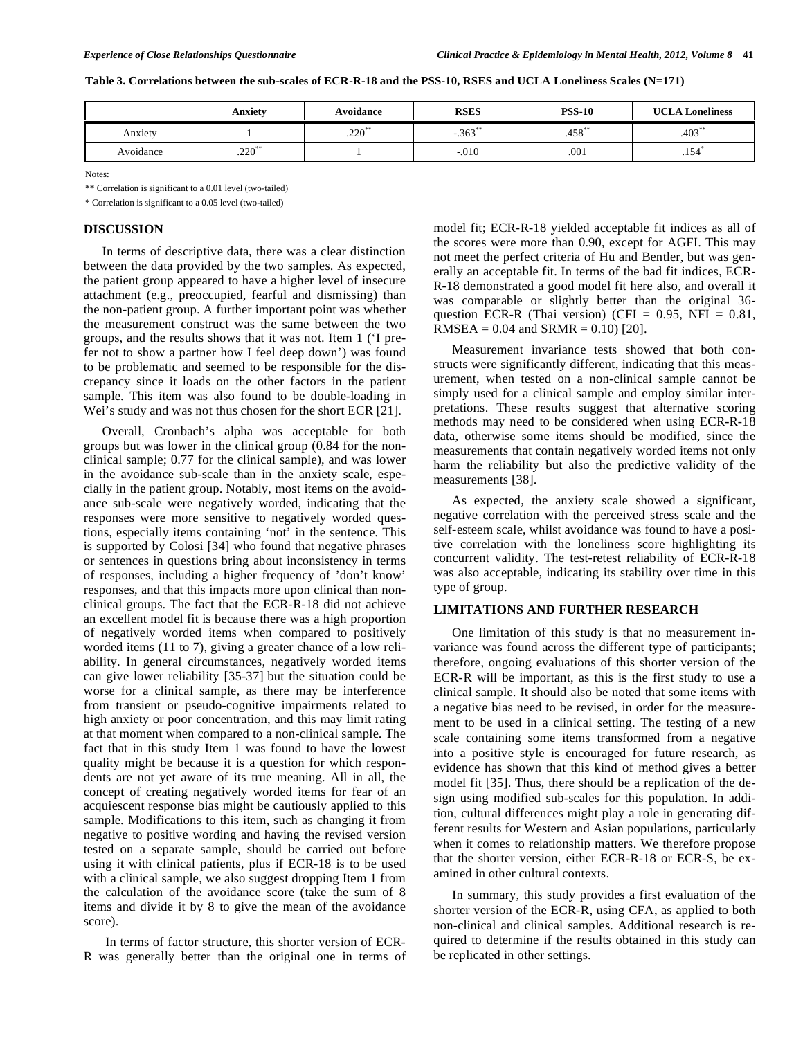**Table 3. Correlations between the sub-scales of ECR-R-18 and the PSS-10, RSES and UCLA Loneliness Scales (N=171)** 

|           | Anxiety  | Avoidance | <b>RSES</b> | <b>PSS-10</b> | <b>UCLA Loneliness</b>           |
|-----------|----------|-----------|-------------|---------------|----------------------------------|
| Anxiety   |          | $.220*$   | $-.363"$    | .458          | $.403*$                          |
| Avoidance | $.220**$ |           | $-.010$     | .001          | $\overline{\phantom{0}}$<br>.154 |

Notes:

\*\* Correlation is significant to a 0.01 level (two-tailed)

\* Correlation is significant to a 0.05 level (two-tailed)

# **DISCUSSION**

In terms of descriptive data, there was a clear distinction between the data provided by the two samples. As expected, the patient group appeared to have a higher level of insecure attachment (e.g., preoccupied, fearful and dismissing) than the non-patient group. A further important point was whether the measurement construct was the same between the two groups, and the results shows that it was not. Item 1 ('I prefer not to show a partner how I feel deep down') was found to be problematic and seemed to be responsible for the discrepancy since it loads on the other factors in the patient sample. This item was also found to be double-loading in Wei's study and was not thus chosen for the short ECR [21].

Overall, Cronbach's alpha was acceptable for both groups but was lower in the clinical group (0.84 for the nonclinical sample; 0.77 for the clinical sample), and was lower in the avoidance sub-scale than in the anxiety scale, especially in the patient group. Notably, most items on the avoidance sub-scale were negatively worded, indicating that the responses were more sensitive to negatively worded questions, especially items containing 'not' in the sentence. This is supported by Colosi [34] who found that negative phrases or sentences in questions bring about inconsistency in terms of responses, including a higher frequency of 'don't know' responses, and that this impacts more upon clinical than nonclinical groups. The fact that the ECR-R-18 did not achieve an excellent model fit is because there was a high proportion of negatively worded items when compared to positively worded items (11 to 7), giving a greater chance of a low reliability. In general circumstances, negatively worded items can give lower reliability [35-37] but the situation could be worse for a clinical sample, as there may be interference from transient or pseudo-cognitive impairments related to high anxiety or poor concentration, and this may limit rating at that moment when compared to a non-clinical sample. The fact that in this study Item 1 was found to have the lowest quality might be because it is a question for which respondents are not yet aware of its true meaning. All in all, the concept of creating negatively worded items for fear of an acquiescent response bias might be cautiously applied to this sample. Modifications to this item, such as changing it from negative to positive wording and having the revised version tested on a separate sample, should be carried out before using it with clinical patients, plus if ECR-18 is to be used with a clinical sample, we also suggest dropping Item 1 from the calculation of the avoidance score (take the sum of 8 items and divide it by 8 to give the mean of the avoidance score).

 In terms of factor structure, this shorter version of ECR-R was generally better than the original one in terms of model fit; ECR-R-18 yielded acceptable fit indices as all of the scores were more than 0.90, except for AGFI. This may not meet the perfect criteria of Hu and Bentler, but was generally an acceptable fit. In terms of the bad fit indices, ECR-R-18 demonstrated a good model fit here also, and overall it was comparable or slightly better than the original 36 question ECR-R (Thai version) (CFI =  $0.95$ , NFI =  $0.81$ , RMSEA =  $0.04$  and SRMR =  $0.10$  [20].

Measurement invariance tests showed that both constructs were significantly different, indicating that this measurement, when tested on a non-clinical sample cannot be simply used for a clinical sample and employ similar interpretations. These results suggest that alternative scoring methods may need to be considered when using ECR-R-18 data, otherwise some items should be modified, since the measurements that contain negatively worded items not only harm the reliability but also the predictive validity of the measurements [38].

As expected, the anxiety scale showed a significant, negative correlation with the perceived stress scale and the self-esteem scale, whilst avoidance was found to have a positive correlation with the loneliness score highlighting its concurrent validity. The test-retest reliability of ECR-R-18 was also acceptable, indicating its stability over time in this type of group.

#### **LIMITATIONS AND FURTHER RESEARCH**

One limitation of this study is that no measurement invariance was found across the different type of participants; therefore, ongoing evaluations of this shorter version of the ECR-R will be important, as this is the first study to use a clinical sample. It should also be noted that some items with a negative bias need to be revised, in order for the measurement to be used in a clinical setting. The testing of a new scale containing some items transformed from a negative into a positive style is encouraged for future research, as evidence has shown that this kind of method gives a better model fit [35]. Thus, there should be a replication of the design using modified sub-scales for this population. In addition, cultural differences might play a role in generating different results for Western and Asian populations, particularly when it comes to relationship matters. We therefore propose that the shorter version, either ECR-R-18 or ECR-S, be examined in other cultural contexts.

In summary, this study provides a first evaluation of the shorter version of the ECR-R, using CFA, as applied to both non-clinical and clinical samples. Additional research is required to determine if the results obtained in this study can be replicated in other settings.